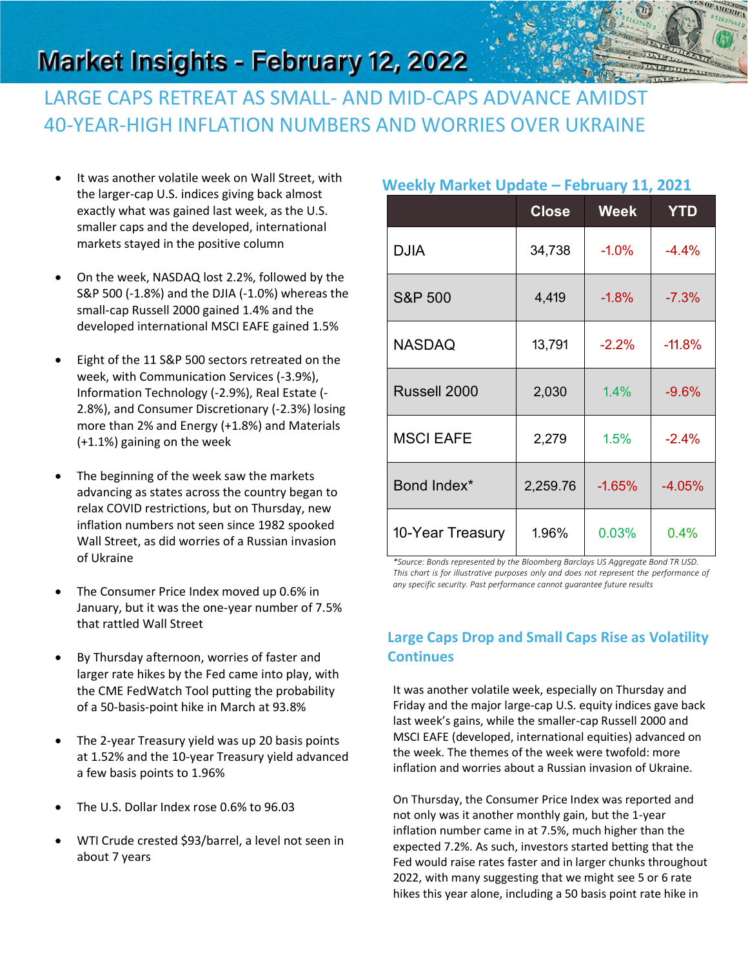

# **Market Insights - February 12, 2022**

## LARGE CAPS RETREAT AS SMALL- AND MID-CAPS ADVANCE AMIDST 40-YEAR-HIGH INFLATION NUMBERS AND WORRIES OVER UKRAINE

- It was another volatile week on Wall Street, with the larger-cap U.S. indices giving back almost exactly what was gained last week, as the U.S. smaller caps and the developed, international markets stayed in the positive column
- On the week, NASDAQ lost 2.2%, followed by the S&P 500 (-1.8%) and the DJIA (-1.0%) whereas the small-cap Russell 2000 gained 1.4% and the developed international MSCI EAFE gained 1.5%
- Eight of the 11 S&P 500 sectors retreated on the week, with Communication Services (-3.9%), Information Technology (-2.9%), Real Estate (- 2.8%), and Consumer Discretionary (-2.3%) losing more than 2% and Energy (+1.8%) and Materials (+1.1%) gaining on the week
- The beginning of the week saw the markets advancing as states across the country began to relax COVID restrictions, but on Thursday, new inflation numbers not seen since 1982 spooked Wall Street, as did worries of a Russian invasion of Ukraine
- The Consumer Price Index moved up 0.6% in January, but it was the one-year number of 7.5% that rattled Wall Street
- By Thursday afternoon, worries of faster and larger rate hikes by the Fed came into play, with the CME FedWatch Tool putting the probability of a 50-basis-point hike in March at 93.8%
- The 2-year Treasury yield was up 20 basis points at 1.52% and the 10-year Treasury yield advanced a few basis points to 1.96%
- The U.S. Dollar Index rose 0.6% to 96.03
- WTI Crude crested \$93/barrel, a level not seen in about 7 years

#### **Weekly Market Update – February 11, 2021**

|                    | <b>Close</b> | <b>Week</b> | <b>YTD</b> |
|--------------------|--------------|-------------|------------|
| <b>DJIA</b>        | 34,738       | $-1.0%$     | $-4.4%$    |
| <b>S&amp;P 500</b> | 4,419        | $-1.8%$     | $-7.3%$    |
| <b>NASDAQ</b>      | 13,791       | $-2.2%$     | $-11.8%$   |
| Russell 2000       | 2,030        | 1.4%        | $-9.6%$    |
| <b>MSCI EAFE</b>   | 2,279        | 1.5%        | $-2.4%$    |
| Bond Index*        | 2,259.76     | $-1.65%$    | $-4.05%$   |
| 10-Year Treasury   | 1.96%        | 0.03%       | 0.4%       |

*\*Source: Bonds represented by the Bloomberg Barclays US Aggregate Bond TR USD. This chart is for illustrative purposes only and does not represent the performance of any specific security. Past performance cannot guarantee future results*

#### **Large Caps Drop and Small Caps Rise as Volatility Continues**

It was another volatile week, especially on Thursday and Friday and the major large-cap U.S. equity indices gave back last week's gains, while the smaller-cap Russell 2000 and MSCI EAFE (developed, international equities) advanced on the week. The themes of the week were twofold: more inflation and worries about a Russian invasion of Ukraine.

On Thursday, the Consumer Price Index was reported and not only was it another monthly gain, but the 1-year inflation number came in at 7.5%, much higher than the expected 7.2%. As such, investors started betting that the Fed would raise rates faster and in larger chunks throughout 2022, with many suggesting that we might see 5 or 6 rate hikes this year alone, including a 50 basis point rate hike in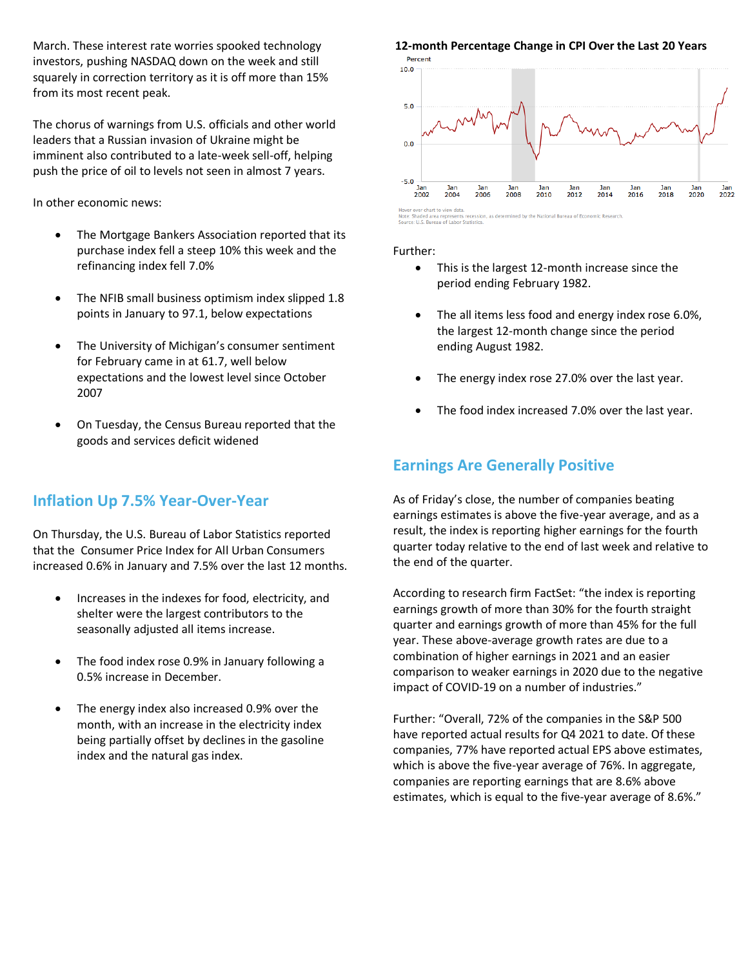March. These interest rate worries spooked technology investors, pushing NASDAQ down on the week and still squarely in correction territory as it is off more than 15% from its most recent peak.

The chorus of warnings from U.S. officials and other world leaders that a Russian invasion of Ukraine might be imminent also contributed to a late-week sell-off, helping push the price of oil to levels not seen in almost 7 years.

In other economic news:

- The Mortgage Bankers Association reported that its purchase index fell a steep 10% this week and the refinancing index fell 7.0%
- The NFIB small business optimism index slipped 1.8 points in January to 97.1, below expectations
- The University of Michigan's consumer sentiment for February came in at 61.7, well below expectations and the lowest level since October 2007
- On Tuesday, the Census Bureau reported that the goods and services deficit widened

#### **Inflation Up 7.5% Year-Over-Year**

On Thursday, the U.S. Bureau of Labor Statistics reported that the Consumer Price Index for All Urban Consumers increased 0.6% in January and 7.5% over the last 12 months.

- Increases in the indexes for food, electricity, and shelter were the largest contributors to the seasonally adjusted all items increase.
- The food index rose 0.9% in January following a 0.5% increase in December.
- The energy index also increased 0.9% over the month, with an increase in the electricity index being partially offset by declines in the gasoline index and the natural gas index.

### **12-month Percentage Change in CPI Over the Last 20 Years**



ed by the National Bureau of Economic Research

#### Further:

- This is the largest 12-month increase since the period ending February 1982.
- The all items less food and energy index rose 6.0%, the largest 12-month change since the period ending August 1982.
- The energy index rose 27.0% over the last year.
- The food index increased 7.0% over the last year.

#### **Earnings Are Generally Positive**

As of Friday's close, the number of companies beating earnings estimates is above the five-year average, and as a result, the index is reporting higher earnings for the fourth quarter today relative to the end of last week and relative to the end of the quarter.

According to research firm FactSet: "the index is reporting earnings growth of more than 30% for the fourth straight quarter and earnings growth of more than 45% for the full year. These above-average growth rates are due to a combination of higher earnings in 2021 and an easier comparison to weaker earnings in 2020 due to the negative impact of COVID-19 on a number of industries."

Further: "Overall, 72% of the companies in the S&P 500 have reported actual results for Q4 2021 to date. Of these companies, 77% have reported actual EPS above estimates, which is above the five-year average of 76%. In aggregate, companies are reporting earnings that are 8.6% above estimates, which is equal to the five-year average of 8.6%."